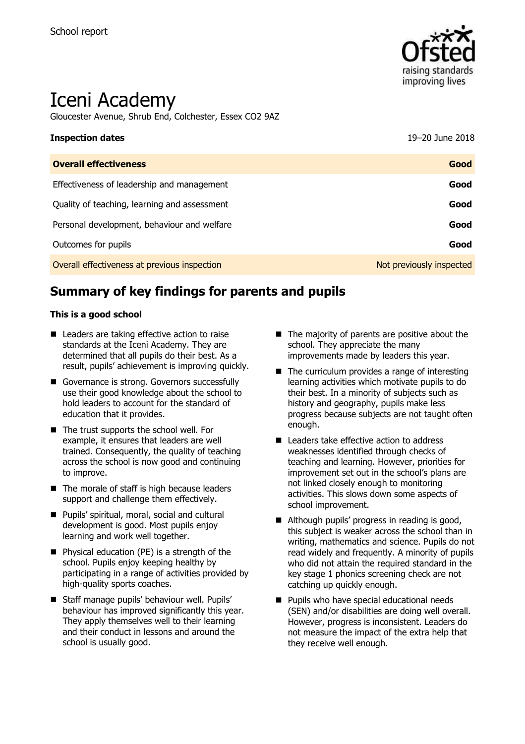

# Iceni Academy

Gloucester Avenue, Shrub End, Colchester, Essex CO2 9AZ

| <b>Inspection dates</b>                      | 19-20 June 2018          |
|----------------------------------------------|--------------------------|
| <b>Overall effectiveness</b>                 | Good                     |
| Effectiveness of leadership and management   | Good                     |
| Quality of teaching, learning and assessment | Good                     |
| Personal development, behaviour and welfare  | Good                     |
| Outcomes for pupils                          | Good                     |
| Overall effectiveness at previous inspection | Not previously inspected |

# **Summary of key findings for parents and pupils**

### **This is a good school**

- Leaders are taking effective action to raise standards at the Iceni Academy. They are determined that all pupils do their best. As a result, pupils' achievement is improving quickly.
- Governance is strong. Governors successfully use their good knowledge about the school to hold leaders to account for the standard of education that it provides.
- The trust supports the school well. For example, it ensures that leaders are well trained. Consequently, the quality of teaching across the school is now good and continuing to improve.
- $\blacksquare$  The morale of staff is high because leaders support and challenge them effectively.
- **Pupils' spiritual, moral, social and cultural** development is good. Most pupils enjoy learning and work well together.
- **Physical education (PE) is a strength of the** school. Pupils enjoy keeping healthy by participating in a range of activities provided by high-quality sports coaches.
- Staff manage pupils' behaviour well. Pupils' behaviour has improved significantly this year. They apply themselves well to their learning and their conduct in lessons and around the school is usually good.
- $\blacksquare$  The majority of parents are positive about the school. They appreciate the many improvements made by leaders this year.
- $\blacksquare$  The curriculum provides a range of interesting learning activities which motivate pupils to do their best. In a minority of subjects such as history and geography, pupils make less progress because subjects are not taught often enough.
- Leaders take effective action to address weaknesses identified through checks of teaching and learning. However, priorities for improvement set out in the school's plans are not linked closely enough to monitoring activities. This slows down some aspects of school improvement.
- Although pupils' progress in reading is good, this subject is weaker across the school than in writing, mathematics and science. Pupils do not read widely and frequently. A minority of pupils who did not attain the required standard in the key stage 1 phonics screening check are not catching up quickly enough.
- **Pupils who have special educational needs** (SEN) and/or disabilities are doing well overall. However, progress is inconsistent. Leaders do not measure the impact of the extra help that they receive well enough.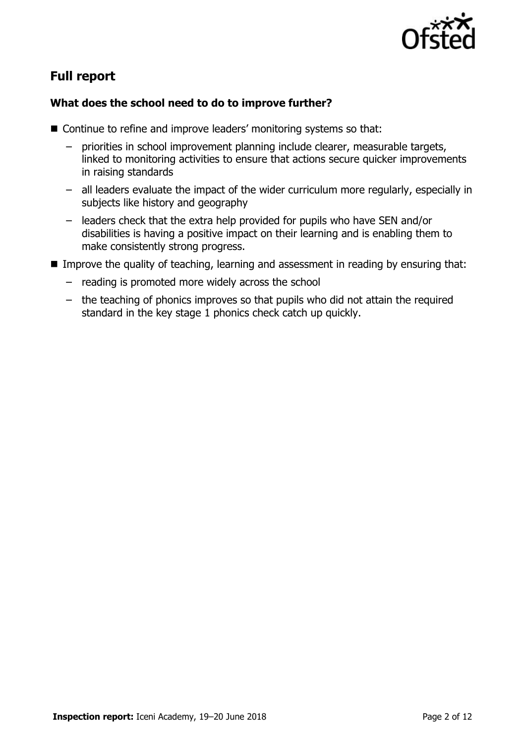

# **Full report**

### **What does the school need to do to improve further?**

- Continue to refine and improve leaders' monitoring systems so that:
	- priorities in school improvement planning include clearer, measurable targets, linked to monitoring activities to ensure that actions secure quicker improvements in raising standards
	- all leaders evaluate the impact of the wider curriculum more regularly, especially in subjects like history and geography
	- leaders check that the extra help provided for pupils who have SEN and/or disabilities is having a positive impact on their learning and is enabling them to make consistently strong progress.
- Improve the quality of teaching, learning and assessment in reading by ensuring that:
	- reading is promoted more widely across the school
	- the teaching of phonics improves so that pupils who did not attain the required standard in the key stage 1 phonics check catch up quickly.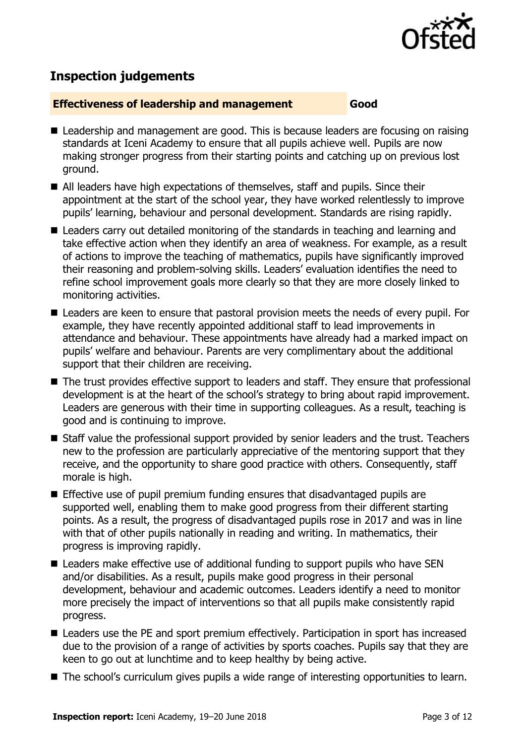

# **Inspection judgements**

### **Effectiveness of leadership and management Good**

- Leadership and management are good. This is because leaders are focusing on raising standards at Iceni Academy to ensure that all pupils achieve well. Pupils are now making stronger progress from their starting points and catching up on previous lost ground.
- All leaders have high expectations of themselves, staff and pupils. Since their appointment at the start of the school year, they have worked relentlessly to improve pupils' learning, behaviour and personal development. Standards are rising rapidly.
- Leaders carry out detailed monitoring of the standards in teaching and learning and take effective action when they identify an area of weakness. For example, as a result of actions to improve the teaching of mathematics, pupils have significantly improved their reasoning and problem-solving skills. Leaders' evaluation identifies the need to refine school improvement goals more clearly so that they are more closely linked to monitoring activities.
- Leaders are keen to ensure that pastoral provision meets the needs of every pupil. For example, they have recently appointed additional staff to lead improvements in attendance and behaviour. These appointments have already had a marked impact on pupils' welfare and behaviour. Parents are very complimentary about the additional support that their children are receiving.
- The trust provides effective support to leaders and staff. They ensure that professional development is at the heart of the school's strategy to bring about rapid improvement. Leaders are generous with their time in supporting colleagues. As a result, teaching is good and is continuing to improve.
- Staff value the professional support provided by senior leaders and the trust. Teachers new to the profession are particularly appreciative of the mentoring support that they receive, and the opportunity to share good practice with others. Consequently, staff morale is high.
- **Effective use of pupil premium funding ensures that disadvantaged pupils are** supported well, enabling them to make good progress from their different starting points. As a result, the progress of disadvantaged pupils rose in 2017 and was in line with that of other pupils nationally in reading and writing. In mathematics, their progress is improving rapidly.
- Leaders make effective use of additional funding to support pupils who have SEN and/or disabilities. As a result, pupils make good progress in their personal development, behaviour and academic outcomes. Leaders identify a need to monitor more precisely the impact of interventions so that all pupils make consistently rapid progress.
- Leaders use the PE and sport premium effectively. Participation in sport has increased due to the provision of a range of activities by sports coaches. Pupils say that they are keen to go out at lunchtime and to keep healthy by being active.
- The school's curriculum gives pupils a wide range of interesting opportunities to learn.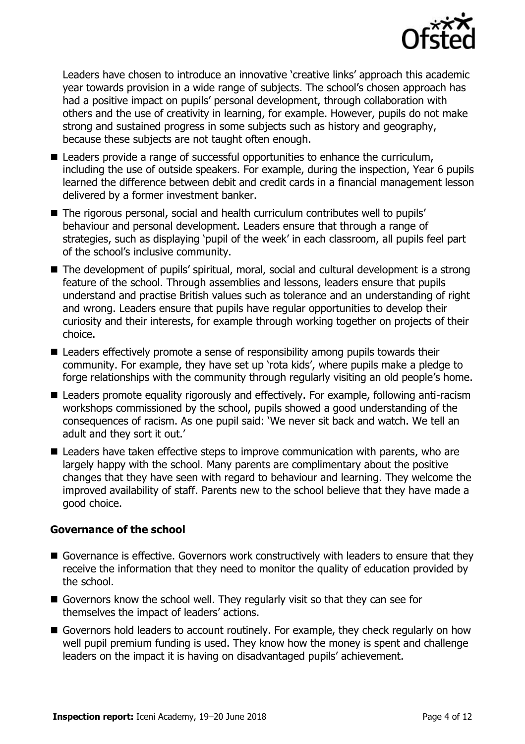

Leaders have chosen to introduce an innovative 'creative links' approach this academic year towards provision in a wide range of subjects. The school's chosen approach has had a positive impact on pupils' personal development, through collaboration with others and the use of creativity in learning, for example. However, pupils do not make strong and sustained progress in some subjects such as history and geography, because these subjects are not taught often enough.

- Leaders provide a range of successful opportunities to enhance the curriculum, including the use of outside speakers. For example, during the inspection, Year 6 pupils learned the difference between debit and credit cards in a financial management lesson delivered by a former investment banker.
- The rigorous personal, social and health curriculum contributes well to pupils' behaviour and personal development. Leaders ensure that through a range of strategies, such as displaying 'pupil of the week' in each classroom, all pupils feel part of the school's inclusive community.
- The development of pupils' spiritual, moral, social and cultural development is a strong feature of the school. Through assemblies and lessons, leaders ensure that pupils understand and practise British values such as tolerance and an understanding of right and wrong. Leaders ensure that pupils have regular opportunities to develop their curiosity and their interests, for example through working together on projects of their choice.
- Leaders effectively promote a sense of responsibility among pupils towards their community. For example, they have set up 'rota kids', where pupils make a pledge to forge relationships with the community through regularly visiting an old people's home.
- Leaders promote equality rigorously and effectively. For example, following anti-racism workshops commissioned by the school, pupils showed a good understanding of the consequences of racism. As one pupil said: 'We never sit back and watch. We tell an adult and they sort it out.'
- Leaders have taken effective steps to improve communication with parents, who are largely happy with the school. Many parents are complimentary about the positive changes that they have seen with regard to behaviour and learning. They welcome the improved availability of staff. Parents new to the school believe that they have made a good choice.

### **Governance of the school**

- Governance is effective. Governors work constructively with leaders to ensure that they receive the information that they need to monitor the quality of education provided by the school.
- Governors know the school well. They regularly visit so that they can see for themselves the impact of leaders' actions.
- Governors hold leaders to account routinely. For example, they check regularly on how well pupil premium funding is used. They know how the money is spent and challenge leaders on the impact it is having on disadvantaged pupils' achievement.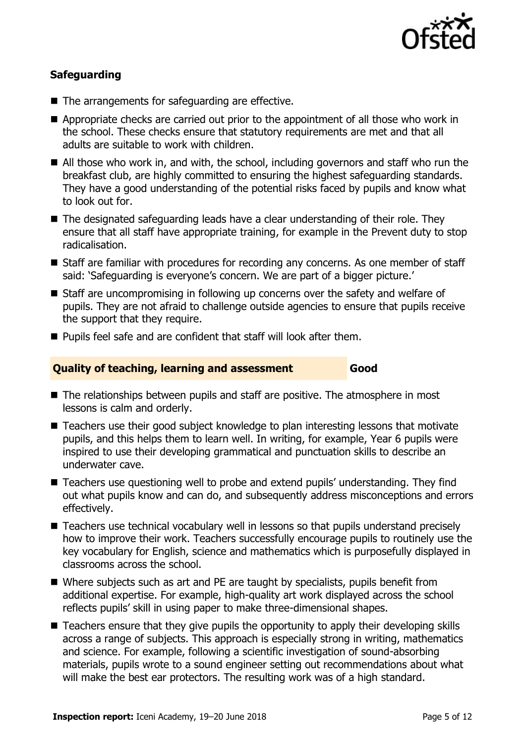

### **Safeguarding**

- The arrangements for safeguarding are effective.
- Appropriate checks are carried out prior to the appointment of all those who work in the school. These checks ensure that statutory requirements are met and that all adults are suitable to work with children.
- All those who work in, and with, the school, including governors and staff who run the breakfast club, are highly committed to ensuring the highest safeguarding standards. They have a good understanding of the potential risks faced by pupils and know what to look out for.
- The designated safeguarding leads have a clear understanding of their role. They ensure that all staff have appropriate training, for example in the Prevent duty to stop radicalisation.
- Staff are familiar with procedures for recording any concerns. As one member of staff said: 'Safeguarding is everyone's concern. We are part of a bigger picture.'
- Staff are uncompromising in following up concerns over the safety and welfare of pupils. They are not afraid to challenge outside agencies to ensure that pupils receive the support that they require.
- Pupils feel safe and are confident that staff will look after them.

### **Quality of teaching, learning and assessment Good**

- The relationships between pupils and staff are positive. The atmosphere in most lessons is calm and orderly.
- Teachers use their good subject knowledge to plan interesting lessons that motivate pupils, and this helps them to learn well. In writing, for example, Year 6 pupils were inspired to use their developing grammatical and punctuation skills to describe an underwater cave.
- Teachers use questioning well to probe and extend pupils' understanding. They find out what pupils know and can do, and subsequently address misconceptions and errors effectively.
- Teachers use technical vocabulary well in lessons so that pupils understand precisely how to improve their work. Teachers successfully encourage pupils to routinely use the key vocabulary for English, science and mathematics which is purposefully displayed in classrooms across the school.
- Where subjects such as art and PE are taught by specialists, pupils benefit from additional expertise. For example, high-quality art work displayed across the school reflects pupils' skill in using paper to make three-dimensional shapes.
- Teachers ensure that they give pupils the opportunity to apply their developing skills across a range of subjects. This approach is especially strong in writing, mathematics and science. For example, following a scientific investigation of sound-absorbing materials, pupils wrote to a sound engineer setting out recommendations about what will make the best ear protectors. The resulting work was of a high standard.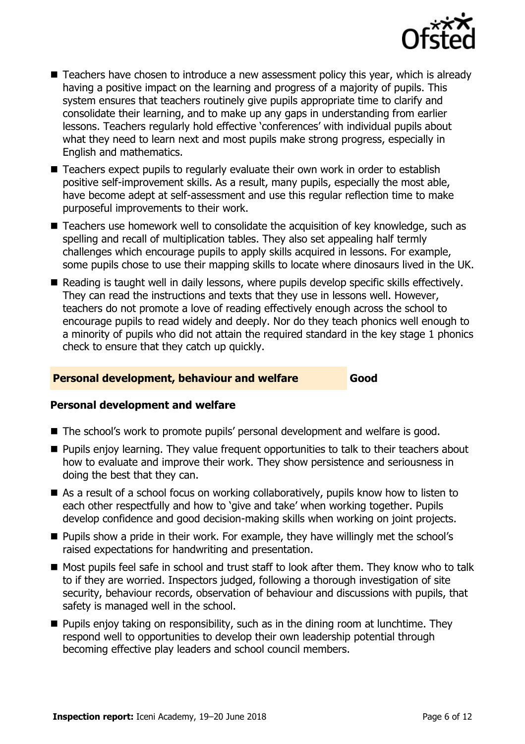

- Teachers have chosen to introduce a new assessment policy this year, which is already having a positive impact on the learning and progress of a majority of pupils. This system ensures that teachers routinely give pupils appropriate time to clarify and consolidate their learning, and to make up any gaps in understanding from earlier lessons. Teachers regularly hold effective 'conferences' with individual pupils about what they need to learn next and most pupils make strong progress, especially in English and mathematics.
- Teachers expect pupils to regularly evaluate their own work in order to establish positive self-improvement skills. As a result, many pupils, especially the most able, have become adept at self-assessment and use this regular reflection time to make purposeful improvements to their work.
- Teachers use homework well to consolidate the acquisition of key knowledge, such as spelling and recall of multiplication tables. They also set appealing half termly challenges which encourage pupils to apply skills acquired in lessons. For example, some pupils chose to use their mapping skills to locate where dinosaurs lived in the UK.
- Reading is taught well in daily lessons, where pupils develop specific skills effectively. They can read the instructions and texts that they use in lessons well. However, teachers do not promote a love of reading effectively enough across the school to encourage pupils to read widely and deeply. Nor do they teach phonics well enough to a minority of pupils who did not attain the required standard in the key stage 1 phonics check to ensure that they catch up quickly.

### **Personal development, behaviour and welfare Good**

### **Personal development and welfare**

- The school's work to promote pupils' personal development and welfare is good.
- **Pupils enjoy learning. They value frequent opportunities to talk to their teachers about** how to evaluate and improve their work. They show persistence and seriousness in doing the best that they can.
- As a result of a school focus on working collaboratively, pupils know how to listen to each other respectfully and how to 'give and take' when working together. Pupils develop confidence and good decision-making skills when working on joint projects.
- **Pupils show a pride in their work. For example, they have willingly met the school's** raised expectations for handwriting and presentation.
- Most pupils feel safe in school and trust staff to look after them. They know who to talk to if they are worried. Inspectors judged, following a thorough investigation of site security, behaviour records, observation of behaviour and discussions with pupils, that safety is managed well in the school.
- $\blacksquare$  Pupils enjoy taking on responsibility, such as in the dining room at lunchtime. They respond well to opportunities to develop their own leadership potential through becoming effective play leaders and school council members.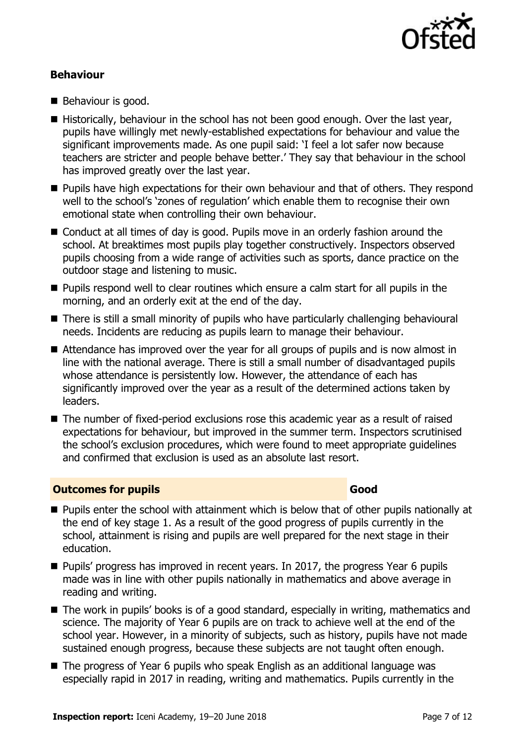

### **Behaviour**

- Behaviour is good.
- Historically, behaviour in the school has not been good enough. Over the last year, pupils have willingly met newly-established expectations for behaviour and value the significant improvements made. As one pupil said: 'I feel a lot safer now because teachers are stricter and people behave better.' They say that behaviour in the school has improved greatly over the last year.
- **Pupils have high expectations for their own behaviour and that of others. They respond** well to the school's 'zones of regulation' which enable them to recognise their own emotional state when controlling their own behaviour.
- Conduct at all times of day is good. Pupils move in an orderly fashion around the school. At breaktimes most pupils play together constructively. Inspectors observed pupils choosing from a wide range of activities such as sports, dance practice on the outdoor stage and listening to music.
- **Pupils respond well to clear routines which ensure a calm start for all pupils in the** morning, and an orderly exit at the end of the day.
- There is still a small minority of pupils who have particularly challenging behavioural needs. Incidents are reducing as pupils learn to manage their behaviour.
- Attendance has improved over the year for all groups of pupils and is now almost in line with the national average. There is still a small number of disadvantaged pupils whose attendance is persistently low. However, the attendance of each has significantly improved over the year as a result of the determined actions taken by leaders.
- The number of fixed-period exclusions rose this academic year as a result of raised expectations for behaviour, but improved in the summer term. Inspectors scrutinised the school's exclusion procedures, which were found to meet appropriate guidelines and confirmed that exclusion is used as an absolute last resort.

### **Outcomes for pupils Good**

- **Pupils enter the school with attainment which is below that of other pupils nationally at** the end of key stage 1. As a result of the good progress of pupils currently in the school, attainment is rising and pupils are well prepared for the next stage in their education.
- $\blacksquare$  Pupils' progress has improved in recent years. In 2017, the progress Year 6 pupils made was in line with other pupils nationally in mathematics and above average in reading and writing.
- The work in pupils' books is of a good standard, especially in writing, mathematics and science. The majority of Year 6 pupils are on track to achieve well at the end of the school year. However, in a minority of subjects, such as history, pupils have not made sustained enough progress, because these subjects are not taught often enough.
- The progress of Year 6 pupils who speak English as an additional language was especially rapid in 2017 in reading, writing and mathematics. Pupils currently in the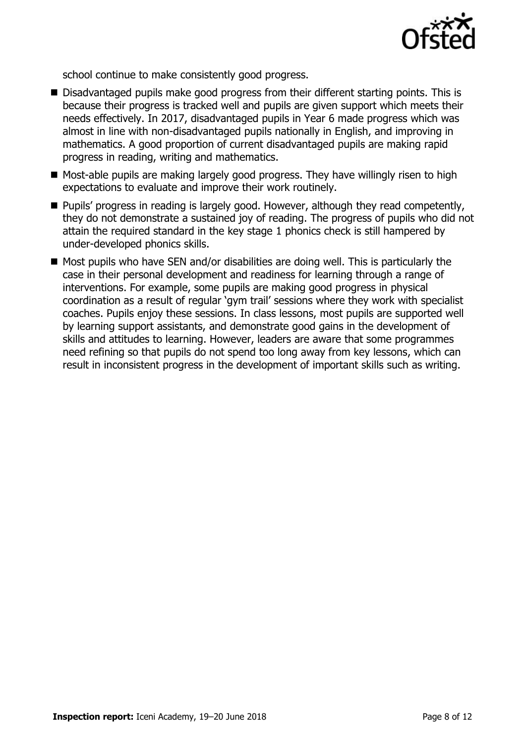

school continue to make consistently good progress.

- Disadvantaged pupils make good progress from their different starting points. This is because their progress is tracked well and pupils are given support which meets their needs effectively. In 2017, disadvantaged pupils in Year 6 made progress which was almost in line with non-disadvantaged pupils nationally in English, and improving in mathematics. A good proportion of current disadvantaged pupils are making rapid progress in reading, writing and mathematics.
- Most-able pupils are making largely good progress. They have willingly risen to high expectations to evaluate and improve their work routinely.
- **Pupils' progress in reading is largely good. However, although they read competently,** they do not demonstrate a sustained joy of reading. The progress of pupils who did not attain the required standard in the key stage 1 phonics check is still hampered by under-developed phonics skills.
- $\blacksquare$  Most pupils who have SEN and/or disabilities are doing well. This is particularly the case in their personal development and readiness for learning through a range of interventions. For example, some pupils are making good progress in physical coordination as a result of regular 'gym trail' sessions where they work with specialist coaches. Pupils enjoy these sessions. In class lessons, most pupils are supported well by learning support assistants, and demonstrate good gains in the development of skills and attitudes to learning. However, leaders are aware that some programmes need refining so that pupils do not spend too long away from key lessons, which can result in inconsistent progress in the development of important skills such as writing.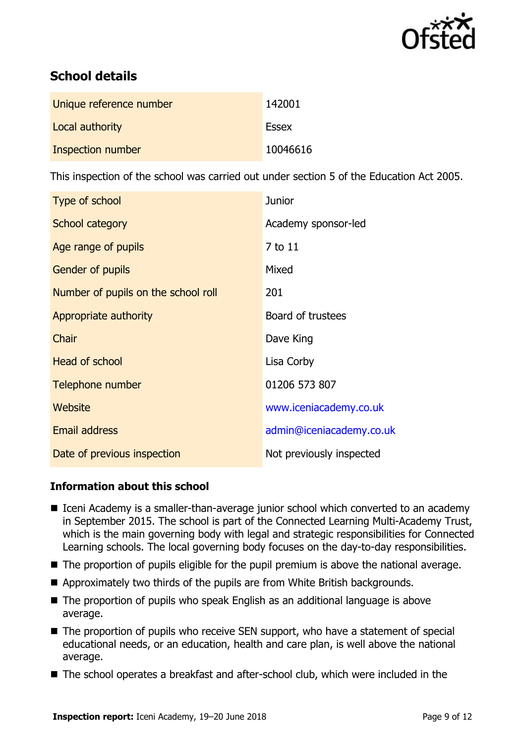

# **School details**

| Unique reference number | 142001       |
|-------------------------|--------------|
| Local authority         | <b>Essex</b> |
| Inspection number       | 10046616     |

This inspection of the school was carried out under section 5 of the Education Act 2005.

| Type of school                      | <b>Junior</b>            |
|-------------------------------------|--------------------------|
| School category                     | Academy sponsor-led      |
| Age range of pupils                 | 7 to 11                  |
| <b>Gender of pupils</b>             | Mixed                    |
| Number of pupils on the school roll | 201                      |
| Appropriate authority               | Board of trustees        |
| Chair                               | Dave King                |
| <b>Head of school</b>               | Lisa Corby               |
| Telephone number                    | 01206 573 807            |
| Website                             | www.iceniacademy.co.uk   |
| <b>Email address</b>                | admin@iceniacademy.co.uk |
| Date of previous inspection         | Not previously inspected |

### **Information about this school**

- Iceni Academy is a smaller-than-average junior school which converted to an academy in September 2015. The school is part of the Connected Learning Multi-Academy Trust, which is the main governing body with legal and strategic responsibilities for Connected Learning schools. The local governing body focuses on the day-to-day responsibilities.
- The proportion of pupils eligible for the pupil premium is above the national average.
- Approximately two thirds of the pupils are from White British backgrounds.
- The proportion of pupils who speak English as an additional language is above average.
- The proportion of pupils who receive SEN support, who have a statement of special educational needs, or an education, health and care plan, is well above the national average.
- The school operates a breakfast and after-school club, which were included in the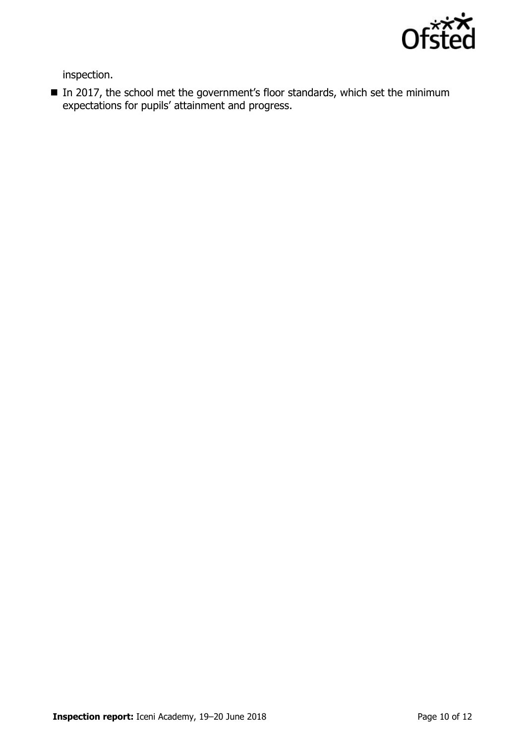

inspection.

 $\blacksquare$  In 2017, the school met the government's floor standards, which set the minimum expectations for pupils' attainment and progress.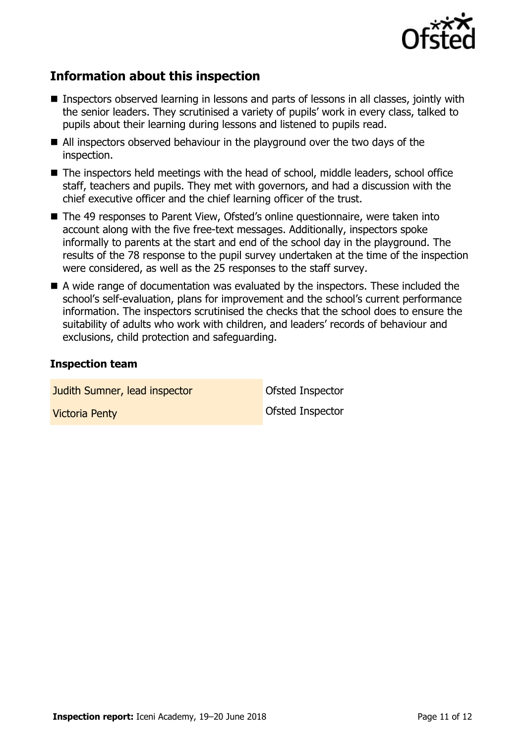

# **Information about this inspection**

- Inspectors observed learning in lessons and parts of lessons in all classes, jointly with the senior leaders. They scrutinised a variety of pupils' work in every class, talked to pupils about their learning during lessons and listened to pupils read.
- All inspectors observed behaviour in the playground over the two days of the inspection.
- The inspectors held meetings with the head of school, middle leaders, school office staff, teachers and pupils. They met with governors, and had a discussion with the chief executive officer and the chief learning officer of the trust.
- The 49 responses to Parent View, Ofsted's online questionnaire, were taken into account along with the five free-text messages. Additionally, inspectors spoke informally to parents at the start and end of the school day in the playground. The results of the 78 response to the pupil survey undertaken at the time of the inspection were considered, as well as the 25 responses to the staff survey.
- A wide range of documentation was evaluated by the inspectors. These included the school's self-evaluation, plans for improvement and the school's current performance information. The inspectors scrutinised the checks that the school does to ensure the suitability of adults who work with children, and leaders' records of behaviour and exclusions, child protection and safeguarding.

### **Inspection team**

**Judith Sumner, lead inspector Constructed Inspector** Victoria Penty Ofsted Inspector